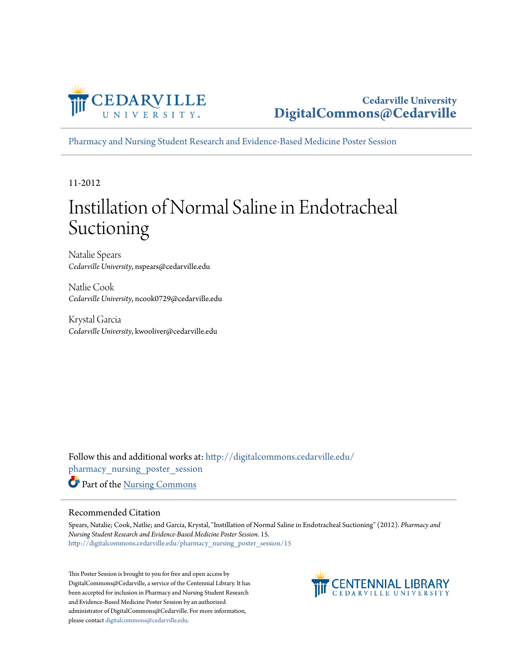

[Pharmacy and Nursing Student Research and Evidence-Based Medicine Poster Session](http://digitalcommons.cedarville.edu/pharmacy_nursing_poster_session?utm_source=digitalcommons.cedarville.edu%2Fpharmacy_nursing_poster_session%2F15&utm_medium=PDF&utm_campaign=PDFCoverPages)

11-2012

#### Instillation of Normal Saline in Endotracheal Suctioning

Natalie Spears *Cedarville University*, nspears@cedarville.edu

Natlie Cook *Cedarville University*, ncook0729@cedarville.edu

Krystal Garcia *Cedarville University*, kwooliver@cedarville.edu

Follow this and additional works at: [http://digitalcommons.cedarville.edu/](http://digitalcommons.cedarville.edu/pharmacy_nursing_poster_session?utm_source=digitalcommons.cedarville.edu%2Fpharmacy_nursing_poster_session%2F15&utm_medium=PDF&utm_campaign=PDFCoverPages) [pharmacy\\_nursing\\_poster\\_session](http://digitalcommons.cedarville.edu/pharmacy_nursing_poster_session?utm_source=digitalcommons.cedarville.edu%2Fpharmacy_nursing_poster_session%2F15&utm_medium=PDF&utm_campaign=PDFCoverPages) Part of the [Nursing Commons](http://network.bepress.com/hgg/discipline/718?utm_source=digitalcommons.cedarville.edu%2Fpharmacy_nursing_poster_session%2F15&utm_medium=PDF&utm_campaign=PDFCoverPages)

#### Recommended Citation

Spears, Natalie; Cook, Natlie; and Garcia, Krystal, "Instillation of Normal Saline in Endotracheal Suctioning" (2012). *Pharmacy and Nursing Student Research and Evidence-Based Medicine Poster Session*. 15. [http://digitalcommons.cedarville.edu/pharmacy\\_nursing\\_poster\\_session/15](http://digitalcommons.cedarville.edu/pharmacy_nursing_poster_session/15?utm_source=digitalcommons.cedarville.edu%2Fpharmacy_nursing_poster_session%2F15&utm_medium=PDF&utm_campaign=PDFCoverPages)

This Poster Session is brought to you for free and open access by DigitalCommons@Cedarville, a service of the Centennial Library. It has been accepted for inclusion in Pharmacy and Nursing Student Research and Evidence-Based Medicine Poster Session by an authorized administrator of DigitalCommons@Cedarville. For more information, please contact [digitalcommons@cedarville.edu.](mailto:digitalcommons@cedarville.edu)